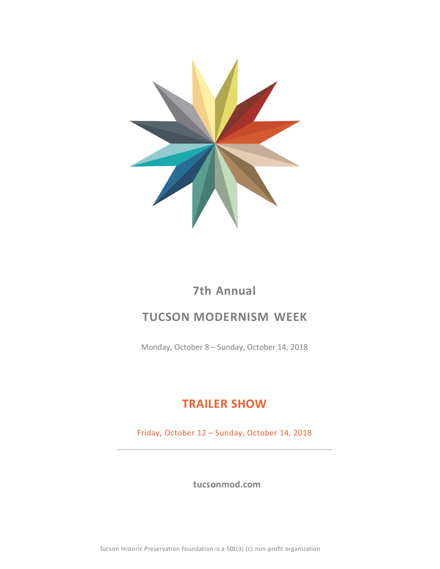

## **7th Annual**

## **TUCSON MODERNISM WEEK**

Monday, October 8 – Sunday, October 14, 2018

## **TRAILER SHOW**

Friday, October 12 – Sunday, October 14, 2018

 **tucsonmod.com**

Tucson Historic Preservation Foundation is a 501(3) (c) non-profit organization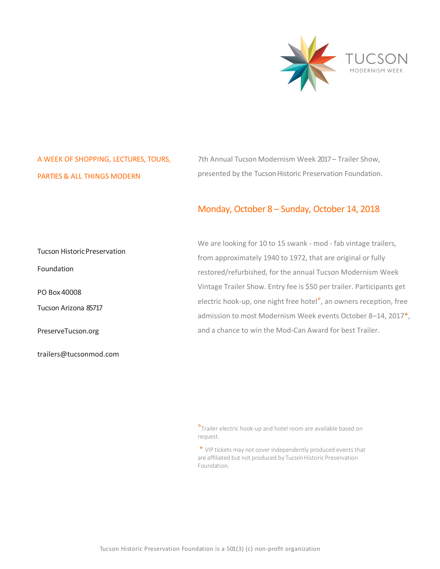

### A WEEK OF SHOPPING, LECTURES, TOURS, PARTIES & ALL THINGS MODERN

7th Annual Tucson Modernism Week 2017– Trailer Show, presented by the Tucson Historic Preservation Foundation.

#### Monday, October 8 – Sunday, October 14, 2018

We are looking for 10 to 15 swank - mod - fab vintage trailers, from approximately 1940 to 1972, that are original or fully restored/refurbished, for the annual Tucson Modernism Week Vintage Trailer Show. Entry fee is \$50 per trailer. Participants get electric hook-up, one night free hotel°, an owners reception, free admission to most Modernism Week events October 8–14, 2017\*, and a chance to win the Mod-Can Award for best Trailer. Tucson HistoricPreservation Foundation PO Box 40008 Tucson Arizona 85717 PreserveTucson.org

trailers@tucsonmod.com

<sup>o</sup>Trailer electric hook-up and hotel room are available based on request.

\* VIP tickets may not cover independently produced events that are affiliated but not produced by Tucson Historic Preservation Foundation.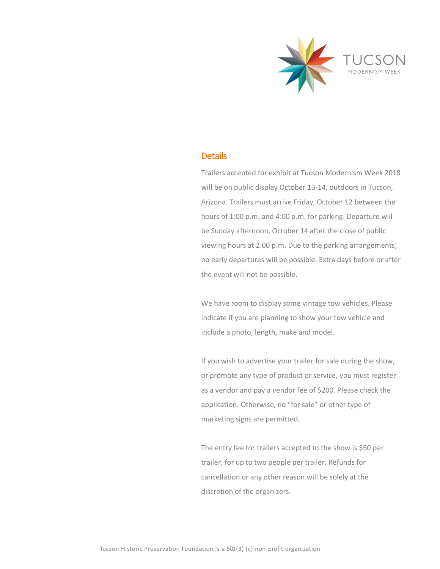

#### **Details**

Trailers accepted for exhibit at Tucson Modernism Week 2018 will be on public display October 13-14, outdoors in Tucson, Arizona. Trailers must arrive Friday, October 12 between the hours of 1:00 p.m. and 4:00 p.m. for parking. Departure will be Sunday afternoon, October 14 after the close of public viewing hours at 2:00 p.m. Due to the parking arrangements; no early departures will be possible. Extra days before or after the event will not be possible.

We have room to display some vintage tow vehicles. Please indicate if you are planning to show your tow vehicle and include a photo, length, make and model.

If you wish to advertise your trailer for sale during the show, or promote any type of product or service, you must register as a vendor and pay a vendor fee of \$200. Please check the application. Otherwise, no "for sale" or other type of marketing signs are permitted.

The entry fee for trailers accepted to the show is \$50 per trailer, for up to two people per trailer. Refunds for cancellation or any other reason will be solely at the discretion of the organizers.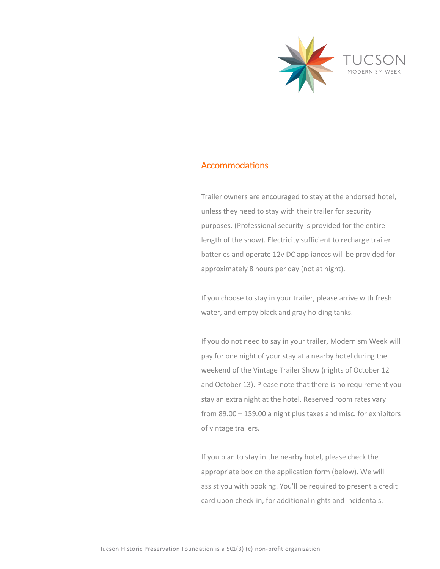

#### Accommodations

Trailer owners are encouraged to stay at the endorsed hotel, unless they need to stay with their trailer for security purposes. (Professional security is provided for the entire length of the show). Electricity sufficient to recharge trailer batteries and operate 12v DC appliances will be provided for approximately 8 hours per day (not at night).

If you choose to stay in your trailer, please arrive with fresh water, and empty black and gray holding tanks.

If you do not need to say in your trailer, Modernism Week will pay for one night of your stay at a nearby hotel during the weekend of the Vintage Trailer Show (nights of October 12 and October 13). Please note that there is no requirement you stay an extra night at the hotel. Reserved room rates vary from 89.00 – 159.00 a night plus taxes and misc. for exhibitors of vintage trailers.

If you plan to stay in the nearby hotel, please check the appropriate box on the application form (below). We will assist you with booking. You'll be required to present a credit card upon check-in, for additional nights and incidentals.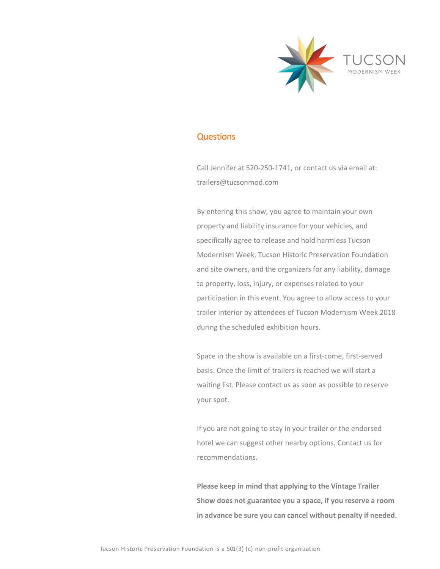

#### **Questions**

Call Jennifer at 520-250-1741, or contact us via email at: trailers@tucsonmod.com

By entering this show, you agree to maintain your own property and liability insurance for your vehicles, and specifically agree to release and hold harmless Tucson Modernism Week, Tucson Historic Preservation Foundation and site owners, and the organizers for any liability, damage to property, loss, injury, or expenses related to your participation in this event. You agree to allow access to your trailer interior by attendees of Tucson Modernism Week 2018 during the scheduled exhibition hours.

Space in the show is available on a first-come, first-served basis. Once the limit of trailers is reached we will start a waiting list. Please contact us as soon as possible to reserve your spot.

If you are not going to stay in your trailer or the endorsed hotel we can suggest other nearby options. Contact us for recommendations.

**Please keep in mind that applying to the Vintage Trailer Show does not guarantee you a space, if you reserve a room in advance be sure you can cancel without penalty if needed.**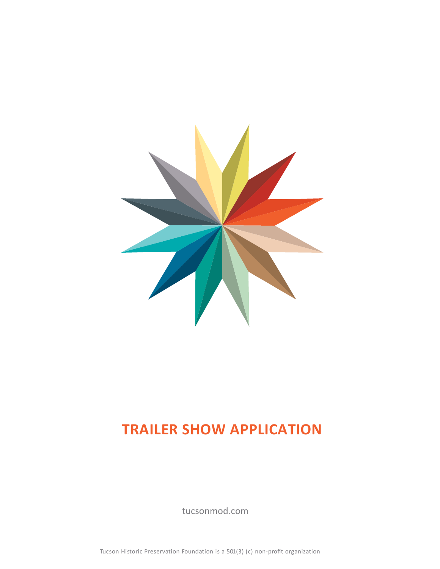

# **TRAILER SHOW APPLICATION**

tucsonmod.com

Tucson Historic Preservation Foundation is a 501(3) (c) non-profit organization